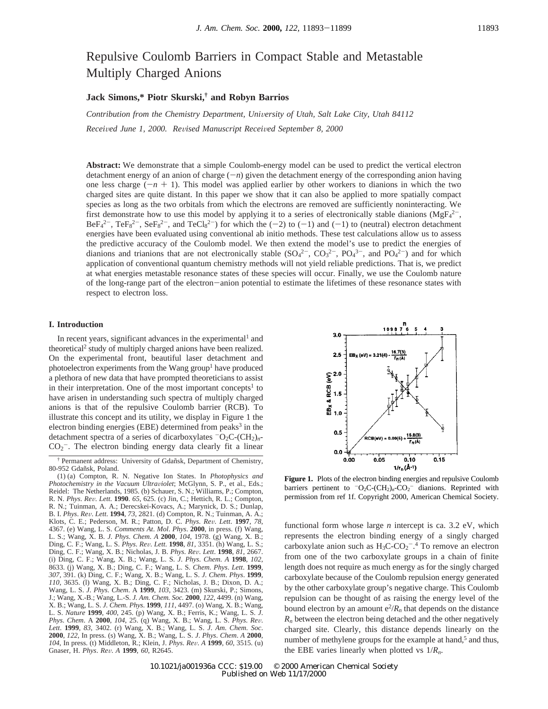# Repulsive Coulomb Barriers in Compact Stable and Metastable Multiply Charged Anions

## **Jack Simons,\* Piotr Skurski,† and Robyn Barrios**

*Contribution from the Chemistry Department, University of Utah, Salt Lake City, Utah 84112 Recei*V*ed June 1, 2000. Re*V*ised Manuscript Recei*V*ed September 8, 2000*

**Abstract:** We demonstrate that a simple Coulomb-energy model can be used to predict the vertical electron detachment energy of an anion of charge  $(-n)$  given the detachment energy of the corresponding anion having one less charge  $(-n + 1)$ . This model was applied earlier by other workers to dianions in which the two charged sites are quite distant. In this paper we show that it can also be applied to more spatially compact species as long as the two orbitals from which the electrons are removed are sufficiently noninteracting. We first demonstrate how to use this model by applying it to a series of electronically stable dianions ( $MgF<sub>4</sub><sup>2</sup>$ ,  $Bef_4^2$ ,  $Tef_8^2$ ,  $Sef_8^2$ , and  $TeCl_8^2$ ) for which the (-2) to (-1) and (-1) to (neutral) electron detachment<br>energies have been evaluated using conventional ab initio methods. These test calculations allow us to asses energies have been evaluated using conventional ab initio methods. These test calculations allow us to assess the predictive accuracy of the Coulomb model. We then extend the model's use to predict the energies of dianions and trianions that are not electronically stable  $(SO_4^2, CO_3^2, PO_4^3, and PO_4^2)$  and for which application of conventional quantum chemistry methods will not yield reliable predictions. That is, we predict at what energies metastable resonance states of these species will occur. Finally, we use the Coulomb nature of the long-range part of the electron-anion potential to estimate the lifetimes of these resonance states with respect to electron loss.

## **I. Introduction**

In recent years, significant advances in the experimental<sup>1</sup> and theoretical2 study of multiply charged anions have been realized. On the experimental front, beautiful laser detachment and photoelectron experiments from the Wang group<sup>1</sup> have produced a plethora of new data that have prompted theoreticians to assist in their interpretation. One of the most important concepts<sup>1</sup> to have arisen in understanding such spectra of multiply charged anions is that of the repulsive Coulomb barrier (RCB). To illustrate this concept and its utility, we display in Figure 1 the electron binding energies (EBE) determined from peaks $3$  in the detachment spectra of a series of dicarboxylates  $-O_2C$ - $(CH_2)_n$ - $CO<sub>2</sub>$ . The electron binding energy data clearly fit a linear



**Figure 1.** Plots of the electron binding energies and repulsive Coulomb barriers pertinent to  $-O_2C$ - $(CH_2)_n$ - $CO_2^-$  dianions. Reprinted with permission from ref 1f. Copyright 2000, American Chemical Society.

functional form whose large *n* intercept is ca. 3.2 eV, which represents the electron binding energy of a singly charged carboxylate anion such as  $H_3C$ -CO<sub>2</sub><sup>-</sup>.<sup>4</sup> To remove an electron from one of the two carboxylate groups in a chain of finite length does not require as much energy as for the singly charged carboxylate because of the Coulomb repulsion energy generated by the other carboxylate group's negative charge. This Coulomb repulsion can be thought of as raising the energy level of the bound electron by an amount  $e^2/R_n$  that depends on the distance  $R_n$  between the electron being detached and the other negatively charged site. Clearly, this distance depends linearly on the number of methylene groups for the example at hand,<sup>5</sup> and thus, the EBE varies linearly when plotted vs 1/*Rn*.

<sup>†</sup> Permanent address: University of Gdan˜sk, Department of Chemistry, 80-952 Gdañsk, Poland.

<sup>(1) (</sup>a) Compton, R. N. Negative Ion States. In *Photophysics and Photochemistry in the Vacuum Ultra*V*iolet*; McGlynn, S. P., et al., Eds.; Reidel: The Netherlands, 1985. (b) Schauer, S. N.; Williams, P.; Compton, R. N. *Phys. Rev. Lett.* **1990**. 65, 625. (c) Jin, C.; Hettich, R. L.; Compton, R. N. *Phys*. *Re*V. *Lett*. **<sup>1990</sup>**. *<sup>65</sup>*, 625. (c) Jin, C.; Hettich, R. L.; Compton, R. N.; Tuinman, A. A.; Derecskei-Kovacs, A.; Marynick, D. S.; Dunlap, B. I. *Phys*. *Re*V. *Lett*. **<sup>1994</sup>**, *<sup>73</sup>*, 2821. (d) Compton, R. N.; Tuinman, A. A.; Klots, C. E.; Pederson, M. R.; Patton, D. C. *Phys*. *Re*V. *Lett*. **<sup>1997</sup>**, *<sup>78</sup>*, 4367. (e) Wang, L. S. *Comments At*. *Mol*. *Phys*. **2000**, in press. (f) Wang, L. S.; Wang, X. B. *J*. *Phys*. *Chem*. *A* **2000**, *104*, 1978. (g) Wang, X. B.; Ding, C. F.; Wang, L. S. *Phys*. *Re*V. *Lett*. **<sup>1998</sup>**, *<sup>81</sup>*, 3351. (h) Wang, L. S.; Ding, C. F.; Wang, X. B.; Nicholas, J. B. *Phys*. *Re*V. *Lett*. **<sup>1998</sup>**, *<sup>81</sup>*, 2667. (i) Ding, C. F.; Wang, X. B.; Wang, L. S. *J*. *Phys*. *Chem*. *A* **1998**, *102*, 8633. (j) Wang, X. B.; Ding, C. F.; Wang, L. S. *Chem*. *Phys*. *Lett*. **1999**, *307*, 391. (k) Ding, C. F.; Wang, X. B.; Wang, L. S. *J*. *Chem*. *Phys*. **1999**, *110*, 3635. (l) Wang, X. B.; Ding, C. F.; Nicholas, J. B.; Dixon, D. A.; Wang, L. S. *J*. *Phys*. *Chem*. A **1999**, *103*, 3423. (m) Skurski, P.; Simons, J.; Wang, X.-B.; Wang, L.-S. *J. Am. Chem. Soc.* **2000**, *122*, 4499. (n) Wang, X. B.; Wang, L. S. *J*. *Chem*. *Phys*. **1999**, *111*, 4497. (o) Wang, X. B.; Wang, L. S. *Nature* **1999**, *400*, 245. (p) Wang, X. B.; Ferris, K.; Wang, L. S. *J*. Phys. Chem. A 2000, 104, 25. (q) Wang, X. B.; Wang, L. S. Phys. Rev.<br>Lett. 1999, 83, 3402. (r) Wang, X. B.; Wang, L. S. J. Am. Chem. Soc. **2000**, *122*, In press. (s) Wang, X. B.; Wang, L. S. *J*. *Phys*. *Chem*. *A* **2000**, *<sup>104</sup>*, In press. (t) Middleton, R.; Klein, J. *Phys*. *Re*V. *<sup>A</sup>* **<sup>1999</sup>**, *<sup>60</sup>*, 3515. (u) Gnaser, H. *Phys*. *Re*V. *<sup>A</sup>* **<sup>1999</sup>**, *<sup>60</sup>*, R2645.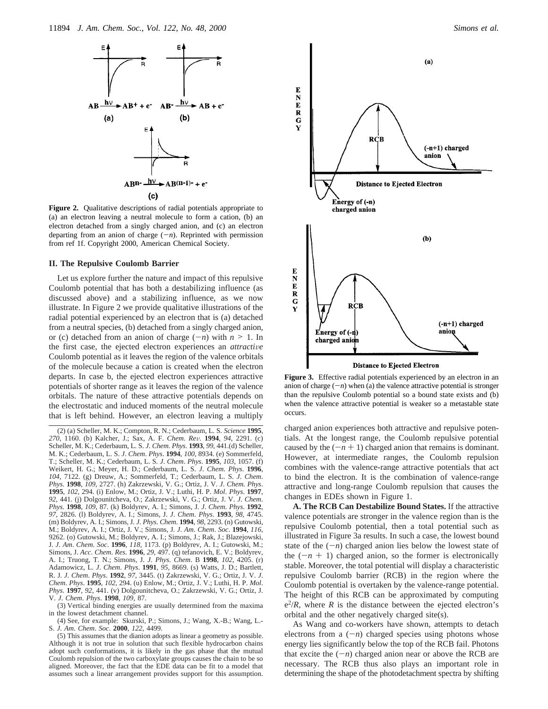

**Figure 2.** Qualitative descriptions of radial potentials appropriate to (a) an electron leaving a neutral molecule to form a cation, (b) an electron detached from a singly charged anion, and (c) an electron departing from an anion of charge  $(-n)$ . Reprinted with permission from ref 1f. Copyright 2000, American Chemical Society.

#### **II. The Repulsive Coulomb Barrier**

Let us explore further the nature and impact of this repulsive Coulomb potential that has both a destabilizing influence (as discussed above) and a stabilizing influence, as we now illustrate. In Figure 2 we provide qualitative illustrations of the radial potential experienced by an electron that is (a) detached from a neutral species, (b) detached from a singly charged anion, or (c) detached from an anion of charge  $(-n)$  with  $n \geq 1$ . In the first case, the ejected electron experiences an *attractive* Coulomb potential as it leaves the region of the valence orbitals of the molecule because a cation is created when the electron departs. In case b, the ejected electron experiences attractive potentials of shorter range as it leaves the region of the valence orbitals. The nature of these attractive potentials depends on the electrostatic and induced moments of the neutral molecule that is left behind. However, an electron leaving a multiply

(3) Vertical binding energies are usually determined from the maxima in the lowest detachment channel.

(4) See, for example: Skurski, P.; Simons, J.; Wang, X.-B.; Wang, L.- S. *J*. *Am*. *Chem*. *Soc*. **2000**, *122*, 4499.

(5) This assumes that the dianion adopts as linear a geometry as possible. Although it is not true in solution that such flexible hydrocarbon chains adopt such conformations, it is likely in the gas phase that the mutual Coulomb repulsion of the two carboxylate groups causes the chain to be so aligned. Moreover, the fact that the EDE data can be fit to a model that assumes such a linear arrangement provides support for this assumption.



Figure 3. Effective radial potentials experienced by an electron in an anion of charge  $(-n)$  when (a) the valence attractive potential is stronger than the repulsive Coulomb potential so a bound state exists and (b) when the valence attractive potential is weaker so a metastable state occurs.

charged anion experiences both attractive and repulsive potentials. At the longest range, the Coulomb repulsive potential caused by the  $(-n + 1)$  charged anion that remains is dominant. However, at intermediate ranges, the Coulomb repulsion combines with the valence-range attractive potentials that act to bind the electron. It is the combination of valence-range attractive and long-range Coulomb repulsion that causes the changes in EDEs shown in Figure 1.

**A. The RCB Can Destabilize Bound States.** If the attractive valence potentials are stronger in the valence region than is the repulsive Coulomb potential, then a total potential such as illustrated in Figure 3a results. In such a case, the lowest bound state of the  $(-n)$  charged anion lies below the lowest state of the  $(-n + 1)$  charged anion, so the former is electronically stable. Moreover, the total potential will display a characteristic repulsive Coulomb barrier (RCB) in the region where the Coulomb potential is overtaken by the valence-range potential. The height of this RCB can be approximated by computing  $e^{2}/R$ , where *R* is the distance between the ejected electron's orbital and the other negatively charged site(s).

As Wang and co-workers have shown, attempts to detach electrons from a  $(-n)$  charged species using photons whose energy lies significantly below the top of the RCB fail. Photons that excite the  $(-n)$  charged anion near or above the RCB are necessary. The RCB thus also plays an important role in determining the shape of the photodetachment spectra by shifting

<sup>(2) (</sup>a) Scheller, M. K.; Compton, R. N.; Cederbaum, L. S. *Science* **1995**, *<sup>270</sup>*, 1160. (b) Kalcher, J.; Sax, A. F. *Chem*. *Re*V. **<sup>1994</sup>**, *<sup>94</sup>*, 2291. (c) Scheller, M. K.; Cederbaum, L. S. *J*. *Chem*. *Phys*. **1993**, *99*, 441.(d) Scheller, M. K.; Cederbaum, L. S. *J*. *Chem*. *Phys*. **1994**, *100*, 8934. (e) Sommerfeld, T.; Scheller, M. K.; Cederbaum, L. S. *J*. *Chem*. *Phys*. **1995**, *103*, 1057. (f) Weikert, H. G.; Meyer, H. D.; Cederbaum, L. S. *J*. *Chem*. *Phys*. **1996**, *104*, 7122. (g) Dreuw, A.; Sommerfeld, T.; Cederbaum, L. S. *J*. *Chem*. *Phys*. **1998**, *109*, 2727. (h) Zakrzewski, V. G.; Ortiz, J. V. *J*. *Chem*. *Phys*. **1995**, *102*, 294. (i) Enlow, M.; Ortiz, J. V.; Luthi, H. P. *Mol*. *Phys*. **1997**, *92*, 441. (j) Dolgounitcheva, O.; Zakrzewski, V. G.; Ortiz, J. V. *J*. *Chem*. *Phys*. **1998**, *109*, 87. (k) Boldyrev, A. I.; Simons, J. *J*. *Chem*. *Phys*. **1992**, *97*, 2826. (l) Boldyrev, A. I.; Simons, J. *J*. *Chem*. *Phys*. **1993**, *98*, 4745. (m) Boldyrev, A. I.; Simons, J. *J*. *Phys*. *Chem*. **1994**, *98*, 2293. (n) Gutowski, M.; Boldyrev, A. I.; Ortiz, J. V.; Simons, J. *J*. *Am*. *Chem*. *Soc*. **1994**, *116*, 9262. (o) Gutowski, M.; Boldyrev, A. I.; Simons, J.; Rak, J.; Blazejowski, J. *J*. *Am*. *Chem*. *Soc*. **1996**, *118*, 1173. (p) Boldyrev, A. I.; Gutowski, M.; Simons, J. *Acc*. *Chem*. *Res*. **1996**, *29*, 497. (q) tefanovich, E. V.; Boldyrev, A. I.; Truong, T. N.; Simons, J. *J*. *Phys*. *Chem*. B **1998**, *102*, 4205. (r) Adamowicz, L. *J*. *Chem*. *Phys*. **1991**, *95*, 8669. (s) Watts, J. D.; Bartlett, R. J. *J*. *Chem*. *Phys*. **1992**, *97*, 3445. (t) Zakrzewski, V. G.; Ortiz, J. V. *J*. *Chem*. *Phys*. **1995**, *102*, 294. (u) Enlow, M.; Ortiz, J. V.; Luthi, H. P. *Mol*. *Phys*. **1997**, *92*, 441. (v) Dolgounitcheva, O.; Zakrzewski, V. G.; Ortiz, J. V. *J*. *Chem*. *Phys*. **1998**, *109*, 87.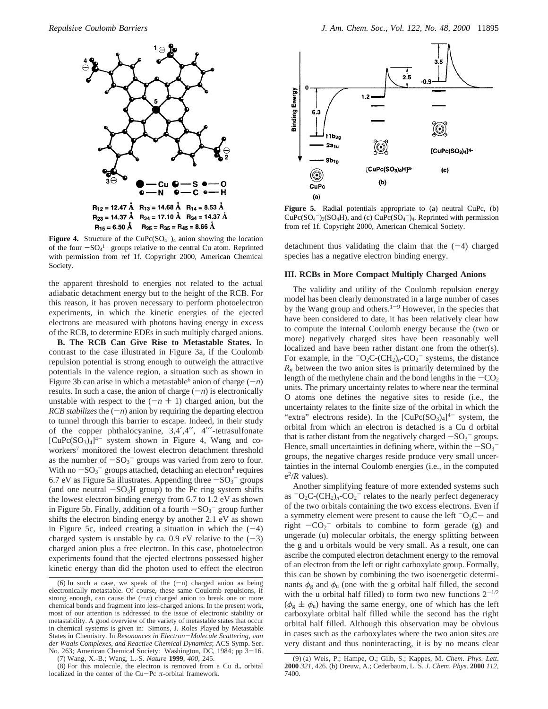

**Figure 4.** Structure of the CuPc $(SO_4^-)_4$  anion showing the location of the four  $-SO<sub>4</sub><sup>1–</sup>$  groups relative to the central Cu atom. Reprinted<br>with permission from ref 1f. Convright 2000. American Chemical with permission from ref 1f. Copyright 2000, American Chemical Society.

the apparent threshold to energies not related to the actual adiabatic detachment energy but to the height of the RCB. For this reason, it has proven necessary to perform photoelectron experiments, in which the kinetic energies of the ejected electrons are measured with photons having energy in excess of the RCB, to determine EDEs in such multiply charged anions.

**B. The RCB Can Give Rise to Metastable States.** In contrast to the case illustrated in Figure 3a, if the Coulomb repulsion potential is strong enough to outweigh the attractive potentials in the valence region, a situation such as shown in Figure 3b can arise in which a metastable<sup>6</sup> anion of charge  $(-n)$ results. In such a case, the anion of charge  $(-n)$  is electronically unstable with respect to the  $(-n + 1)$  charged anion, but the *RCB stabilizes* the  $(-n)$  anion by requiring the departing electron to tunnel through this barrier to escape. Indeed, in their study of the copper phthalocyanine, 3,4′,4′′, 4′′′-tetrasulfonate  $[CuPc(SO<sub>3</sub>)<sub>4</sub>]<sup>4-</sup>$  system shown in Figure 4, Wang and coworkers<sup>7</sup> monitored the lowest electron detachment threshold as the number of  $-SO_3^-$  groups was varied from zero to four.<br>With no  $-SO_3^-$  groups attached detaching an electron<sup>8</sup> requires With no  $-SO_3^-$  groups attached, detaching an electron<sup>8</sup> requires 6.7 eV as Figure 5a illustrates. Appending three  $-SO_2^-$  groups 6.7 eV as Figure 5a illustrates. Appending three  $-SO<sub>3</sub>$ <sup>-</sup> groups (and one neutral  $-SO<sub>3</sub>$ - group) to the Pc ring system shifts (and one neutral  $-SO<sub>3</sub>H$  group) to the Pc ring system shifts the lowest electron binding energy from 6.7 to 1.2 eV as shown in Figure 5b. Finally, addition of a fourth  $-SO_3^-$  group further<br>shifts the electron binding energy by another 2.1 eV as shown shifts the electron binding energy by another 2.1 eV as shown in Figure 5c, indeed creating a situation in which the  $(-4)$ charged system is unstable by ca. 0.9 eV relative to the  $(-3)$ charged anion plus a free electron. In this case, photoelectron experiments found that the ejected electrons possessed higher kinetic energy than did the photon used to effect the electron

(7) Wang, X.-B.; Wang, L.-S. *Nature* **1999**, *400*, 245.

(8) For this molecule, the electron is removed from a Cu  $d<sub>\pi</sub>$  orbital localized in the center of the Cu-Pc  $\pi$ -orbital framework.



**Figure 5.** Radial potentials appropriate to (a) neutral CuPc, (b)  $CuPc(SO<sub>4</sub><sup>-</sup>)<sub>3</sub>(SO<sub>4</sub>H)$ , and (c)  $CuPc(SO<sub>4</sub><sup>-</sup>)<sub>4</sub>$ . Reprinted with permission from ref 1f. Copyright 2000, American Chemical Society.

detachment thus validating the claim that the  $(-4)$  charged species has a negative electron binding energy.

## **III. RCBs in More Compact Multiply Charged Anions**

The validity and utility of the Coulomb repulsion energy model has been clearly demonstrated in a large number of cases by the Wang group and others.<sup>1-9</sup> However, in the species that have been considered to date, it has been relatively clear how to compute the internal Coulomb energy because the (two or more) negatively charged sites have been reasonably well localized and have been rather distant one from the other(s). For example, in the  $-O_2C$ - $(CH_2)_n$ - $CO_2^-$  systems, the distance  $R_n$  between the two anion sites is primarily determined by the length of the methylene chain and the bond lengths in the  $-CO<sub>2</sub>$ units. The primary uncertainty relates to where near the terminal O atoms one defines the negative sites to reside (i.e., the uncertainty relates to the finite size of the orbital in which the "extra" electrons reside). In the  $[CuPc(SO<sub>3</sub>)<sub>4</sub>]<sup>4-</sup>$  system, the orbital from which an electron is detached is a Cu d orbital that is rather distant from the negatively charged  $-SO_3^-$  groups.<br>Hence, small uncertainties in defining where, within the  $-SO_3^-$ Hence, small uncertainties in defining where, within the  $-SO<sub>3</sub>$ <sup>-</sup><br>groups the negative charges reside produce very small uncergroups, the negative charges reside produce very small uncertainties in the internal Coulomb energies (i.e., in the computed  $e^2/R$  values).

Another simplifying feature of more extended systems such as  $-O_2C$ -(CH<sub>2</sub>)<sub>n</sub>-CO<sub>2</sub><sup>-</sup> relates to the nearly perfect degeneracy of the two orbitals containing the two excess electrons. Even if a symmetry element were present to cause the left  $-Q_2C$  and right  $-CO_2$ <sup>-</sup> orbitals to combine to form gerade (g) and<br>ungerade (u) molecular orbitals the energy splitting between ungerade (u) molecular orbitals, the energy splitting between the g and u orbitals would be very small. As a result, one can ascribe the computed electron detachment energy to the removal of an electron from the left or right carboxylate group. Formally, this can be shown by combining the two isoenergetic determinants  $\phi_{g}$  and  $\phi_{u}$  (one with the g orbital half filled, the second with the u orbital half filled) to form two new functions  $2^{-1/2}$  $(\phi_{g} \pm \phi_{u})$  having the same energy, one of which has the left carboxylate orbital half filled while the second has the right orbital half filled. Although this observation may be obvious in cases such as the carboxylates where the two anion sites are very distant and thus noninteracting, it is by no means clear

<sup>(6)</sup> In such a case, we speak of the  $(-n)$  charged anion as being electronically metastable. Of course, these same Coulomb repulsions, if strong enough, can cause the  $(-n)$  charged anion to break one or more chemical bonds and fragment into less-charged anions. In the present work, most of our attention is addressed to the issue of electronic stability or metastability. A good overview of the variety of metastable states that occur in chemical systems is given in: Simons, J. Roles Played by Metastable States in Chemistry. In *Resonances in Electron–Molecule Scattering*, *van*<br>der Waals Complexes, and Reactive Chemical Dynamics: ACS Symp. Ser *der Waals Complexes, and Reactive Chemical Dynamics*; ACS Symp. Ser.<br>No. 263: American Chemical Society: Washington, DC, 1984: pp. 3–16. No. 263; American Chemical Society: Washington, DC, 1984; pp 3-16.

<sup>(9) (</sup>a) Weis, P.; Hampe, O.; Gilb, S.; Kappes, M. *Chem*. *Phys*. *Lett*. **2000** *321*, 426. (b) Dreuw, A.; Cederbaum, L. S. *J*. *Chem*. *Phys*. **2000** *112*, 7400.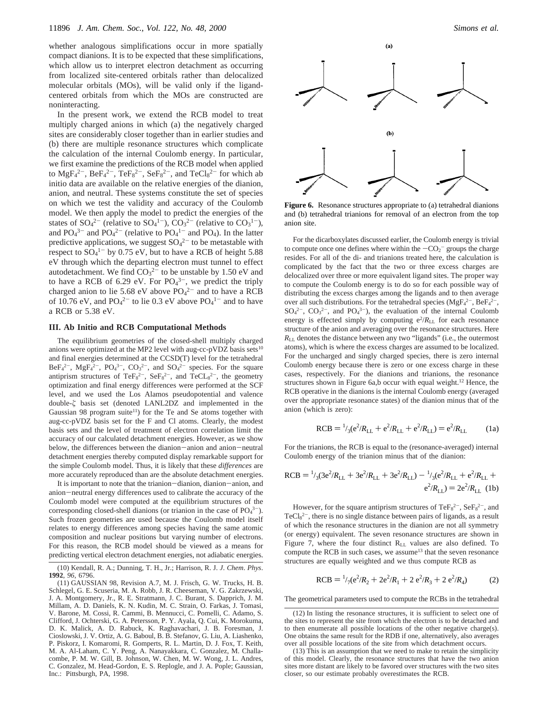whether analogous simplifications occur in more spatially compact dianions. It is to be expected that these simplifications, which allow us to interpret electron detachment as occurring from localized site-centered orbitals rather than delocalized molecular orbitals (MOs), will be valid only if the ligandcentered orbitals from which the MOs are constructed are noninteracting.

In the present work, we extend the RCB model to treat multiply charged anions in which (a) the negatively charged sites are considerably closer together than in earlier studies and (b) there are multiple resonance structures which complicate the calculation of the internal Coulomb energy. In particular, we first examine the predictions of the RCB model when applied to  $\text{MgF}_4{}^{2-}$ ,  $\text{BeF}_4{}^{2-}$ ,  $\text{TeF}_8{}^{2-}$ ,  $\text{SeF}_8{}^{2-}$ , and  $\text{TeCl}_8{}^{2-}$  for which ab initio data are available on the relative energies of the dianion, anion, and neutral. These systems constitute the set of species on which we test the validity and accuracy of the Coulomb model. We then apply the model to predict the energies of the states of  $SO_4^2$ <sup>-</sup> (relative to  $SO_4^1$ <sup>-</sup>),  $CO_3^2$ <sup>-</sup> (relative to  $CO_3^1$ <sup>-</sup>), and  $PO_4^{3-}$  and  $PO_4^{2-}$  (relative to  $PO_4^{1-}$  and  $PO_4$ ). In the latter predictive applications, we suggest  $SO_4^2$  to be metastable with respect to  $SO_4^1$ <sup>-</sup> by 0.75 eV, but to have a RCB of height 5.88 eV through which the departing electron must tunnel to effect autodetachment. We find  $CO<sub>3</sub><sup>2–</sup>$  to be unstable by 1.50 eV and to have a RCB of 6.29 eV. For  $PO_4^{3-}$ , we predict the triply charged anion to lie 5.68 eV above  $PO<sub>4</sub><sup>2-</sup>$  and to have a RCB of 10.76 eV, and  $PO_4^{2-}$  to lie 0.3 eV above  $PO_4^{1-}$  and to have a RCB or 5.38 eV.

#### **III. Ab Initio and RCB Computational Methods**

The equilibrium geometries of the closed-shell multiply charged anions were optimized at the MP2 level with aug-cc-pVDZ basis sets $10$ and final energies determined at the CCSD(T) level for the tetrahedral  $BeF_4^{2-}$ ,  $MgF_4^{2-}$ ,  $PO_4^{3-}$ ,  $CO_3^{2-}$ , and  $SO_4^{2-}$  species. For the square antiprism structures of Te $F_8^{2-}$ , Se $F_8^{2-}$ , and TeCL $_8^{2-}$ , the geometry optimization and final energy differences were performed at the SCF level, and we used the Los Alamos pseudopotential and valence double-*ú* basis set (denoted LANL2DZ and implemented in the Gaussian 98 program suite<sup>11</sup>) for the Te and Se atoms together with aug-cc-pVDZ basis set for the F and Cl atoms. Clearly, the modest basis sets and the level of treatment of electron correlation limit the accuracy of our calculated detachment energies. However, as we show below, the differences between the dianion-anion and anion-neutral detachment energies thereby computed display remarkable support for the simple Coulomb model. Thus, it is likely that these *differences* are more accurately reproduced than are the absolute detachment energies.

It is important to note that the trianion-dianion, dianion-anion, and anion-neutral energy differences used to calibrate the accuracy of the Coulomb model were computed at the equilibrium structures of the corresponding closed-shell dianions (or trianion in the case of  $PO<sub>4</sub><sup>3–</sup>$ ). Such frozen geometries are used because the Coulomb model itself relates to energy differences among species having the same atomic composition and nuclear positions but varying number of electrons. For this reason, the RCB model should be viewed as a means for predicting vertical electron detachment energies, not adiabatic energies.



**Figure 6.** Resonance structures appropriate to (a) tetrahedral dianions and (b) tetrahedral trianions for removal of an electron from the top anion site.

For the dicarboxylates discussed earlier, the Coulomb energy is trivial to compute once one defines where within the  $-CO<sub>2</sub>$  groups the charge<br>resides. For all of the di- and trianions treated here, the calculation is resides. For all of the di- and trianions treated here, the calculation is complicated by the fact that the two or three excess charges are delocalized over three or more equivalent ligand sites. The proper way to compute the Coulomb energy is to do so for each possible way of distributing the excess charges among the ligands and to then average over all such distributions. For the tetrahedral species  $(MgF<sub>4</sub><sup>2</sup> -$ , Be $F<sub>4</sub><sup>2</sup> -$ ,  $SO_4^2$ <sup>-</sup>,  $CO_3^2$ <sup>-</sup>, and  $PO_4^3$ <sup>-</sup>), the evaluation of the internal Coulomb energy is effected simply by computing  $e^2/R_{LL}$  for each resonance structure of the anion and averaging over the resonance structures. Here  $R_{\text{LL}}$  denotes the distance between any two "ligands" (i.e., the outermost atoms), which is where the excess charges are assumed to be localized. For the uncharged and singly charged species, there is zero internal Coulomb energy because there is zero or one excess charge in these cases, respectively. For the dianions and trianions, the resonance structures shown in Figure 6a,b occur with equal weight.12 Hence, the RCB operative in the dianions is the internal Coulomb energy (averaged over the appropriate resonance states) of the dianion minus that of the anion (which is zero):

$$
RCB = \frac{1}{3} (e^2 / R_{LL} + e^2 / R_{LL} + e^2 / R_{LL}) = e^2 / R_{LL}
$$
 (1a)

For the trianions, the RCB is equal to the (resonance-averaged) internal Coulomb energy of the trianion minus that of the dianion:

$$
RCB = \frac{1}{3} (3e^2/R_{LL} + 3e^2/R_{LL} + 3e^2/R_{LL}) - \frac{1}{3} (e^2/R_{LL} + e^2/R_{LL} + e^2/R_{LL}) = 2e^2/R_{LL}
$$
 (1b)

However, for the square antiprism structures of  $TeF<sub>8</sub><sup>2</sup>$ ,  $SeF<sub>8</sub><sup>2</sup>$ , and  $TeCl<sub>8</sub><sup>2-</sup>$ , there is no single distance between pairs of ligands, as a result of which the resonance structures in the dianion are not all symmetry (or energy) equivalent. The seven resonance structures are shown in Figure 7, where the four distinct  $R_{LL}$  values are also defined. To compute the RCB in such cases, we assume<sup>13</sup> that the seven resonance structures are equally weighted and we thus compute RCB as

$$
RCB = \frac{1}{7} (e^2/R_2 + 2e^2/R_1 + 2e^2/R_3 + 2e^2/R_4)
$$
 (2)

The geometrical parameters used to compute the RCBs in the tetrahedral

<sup>(10)</sup> Kendall, R. A.; Dunning, T. H., Jr.; Harrison, R. J. *J*. *Chem*. *Phys*. **1992**, *96*, 6796.

<sup>(11)</sup> GAUSSIAN 98, Revision A.7, M. J. Frisch, G. W. Trucks, H. B. Schlegel, G. E. Scuseria, M. A. Robb, J. R. Cheeseman, V. G. Zakrzewski, J. A. Montgomery, Jr., R. E. Stratmann, J. C. Burant, S. Dapprich, J. M. Millam, A. D. Daniels, K. N. Kudin, M. C. Strain, O. Farkas, J. Tomasi, V. Barone, M. Cossi, R. Cammi, B. Mennucci, C. Pomelli, C. Adamo, S. Clifford, J. Ochterski, G. A. Petersson, P. Y. Ayala, Q. Cui, K. Morokuma, D. K. Malick, A. D. Rabuck, K. Raghavachari, J. B. Foresman, J. Cioslowski, J. V. Ortiz, A. G. Baboul, B. B. Stefanov, G. Liu, A. Liashenko, P. Piskorz, I. Komaromi, R. Gomperts, R. L. Martin, D. J. Fox, T. Keith, M. A. Al-Laham, C. Y. Peng, A. Nanayakkara, C. Gonzalez, M. Challacombe, P. M. W. Gill, B. Johnson, W. Chen, M. W. Wong, J. L. Andres, C. Gonzalez, M. Head-Gordon, E. S. Replogle, and J. A. Pople; Gaussian, Inc.: Pittsburgh, PA, 1998.

<sup>(12)</sup> In listing the resonance structures, it is sufficient to select one of the sites to represent the site from which the electron is to be detached and to then enumerate all possible locations of the other negative charge(s). One obtains the same result for the RDB if one, alternatively, also averages over all possible locations of the site from which detachment occurs.

<sup>(13)</sup> This is an assumption that we need to make to retain the simplicity of this model. Clearly, the resonance structures that have the two anion sites more distant are likely to be favored over structures with the two sites closer, so our estimate probably overestimates the RCB.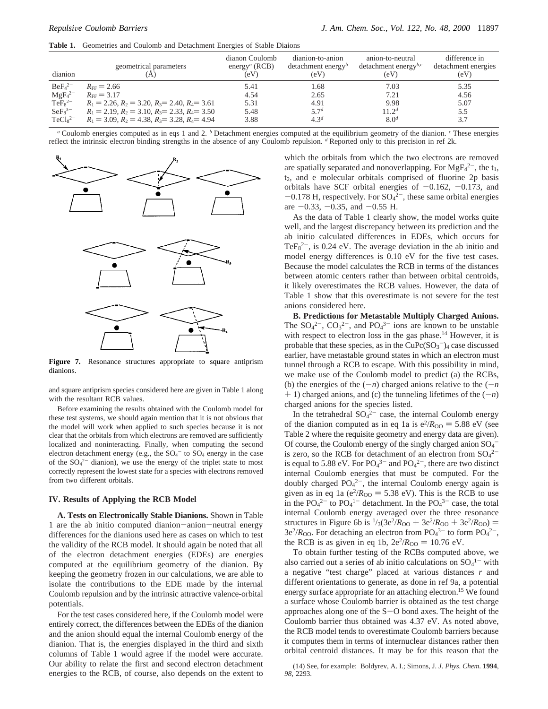**Table 1.** Geometries and Coulomb and Detachment Energies of Stable Diaions

| dianion                        | geometrical parameters                                    | dianon Coulomb<br>energy <sup><i>a</i></sup> (RCB)<br>(eV) | dianion-to-anion<br>detachment energy <sup>b</sup><br>(eV) | anion-to-neutral<br>detachment energy <sup>b,c</sup><br>(eV) | difference in<br>detachment energies<br>(eV) |
|--------------------------------|-----------------------------------------------------------|------------------------------------------------------------|------------------------------------------------------------|--------------------------------------------------------------|----------------------------------------------|
| BeE <sub>4</sub> <sup>2–</sup> | $R_{\text{FF}} = 2.66$                                    | 5.41                                                       | 1.68                                                       | 7.03                                                         | 5.35                                         |
| MgF <sub>4</sub> <sup>2</sup>  | $R_{\text{FF}} = 3.17$                                    | 4.54                                                       | 2.65                                                       | 7.21                                                         | 4.56                                         |
| TeF <sub>8</sub> <sup>2–</sup> | $R_1 = 2.26$ , $R_2 = 3.20$ , $R_3 = 2.40$ , $R_4 = 3.61$ | 5.31                                                       | 4.91                                                       | 9.98                                                         | 5.07                                         |
| $SeF_8^{3-}$                   | $R_1 = 2.19$ , $R_2 = 3.10$ , $R_3 = 2.33$ , $R_4 = 3.50$ | 5.48                                                       | 5.7 <sup>d</sup>                                           | 11.2 <sup>d</sup>                                            | 5.5                                          |
| $TeCls^{2-}$                   | $R_1 = 3.09$ , $R_2 = 4.38$ , $R_3 = 3.28$ , $R_4 = 4.94$ | 3.88                                                       | $4.3^{d}$                                                  | 8.0 <sup>d</sup>                                             | 3.7                                          |

*<sup>a</sup>* Coulomb energies computed as in eqs 1 and 2. *<sup>b</sup>* Detachment energies computed at the equilibrium geometry of the dianion. *<sup>c</sup>* These energies reflect the intrinsic electron binding strengths in the absence of any Coulomb repulsion. *<sup>d</sup>* Reported only to this precision in ref 2k.



**Figure 7.** Resonance structures appropriate to square antiprism dianions.

and square antiprism species considered here are given in Table 1 along with the resultant RCB values.

Before examining the results obtained with the Coulomb model for these test systems, we should again mention that it is not obvious that the model will work when applied to such species because it is not clear that the orbitals from which electrons are removed are sufficiently localized and noninteracting. Finally, when computing the second electron detachment energy (e.g., the  $SO_4^-$  to  $SO_4$  energy in the case of the  $SO_4^2$ <sup>-</sup> dianion), we use the energy of the triplet state to most correctly represent the lowest state for a species with electrons removed from two different orbitals.

## **IV. Results of Applying the RCB Model**

**A. Tests on Electronically Stable Dianions.** Shown in Table 1 are the ab initio computed dianion-anion-neutral energy differences for the dianions used here as cases on which to test the validity of the RCB model. It should again be noted that all of the electron detachment energies (EDEs) are energies computed at the equilibrium geometry of the dianion. By keeping the geometry frozen in our calculations, we are able to isolate the contributions to the EDE made by the internal Coulomb repulsion and by the intrinsic attractive valence-orbital potentials.

For the test cases considered here, if the Coulomb model were entirely correct, the differences between the EDEs of the dianion and the anion should equal the internal Coulomb energy of the dianion. That is, the energies displayed in the third and sixth columns of Table 1 would agree if the model were accurate. Our ability to relate the first and second electron detachment energies to the RCB, of course, also depends on the extent to

which the orbitals from which the two electrons are removed are spatially separated and nonoverlapping. For  $MgF_4^{2-}$ , the  $t_1$ , t2, and e molecular orbitals comprised of fluorine 2p basis orbitals have SCF orbital energies of  $-0.162$ ,  $-0.173$ , and  $-0.178$  H, respectively. For  $SO_4^{2-}$ , these same orbital energies<br>are  $-0.33$   $-0.35$  and  $-0.55$  H are  $-0.33$ ,  $-0.35$ , and  $-0.55$  H.

As the data of Table 1 clearly show, the model works quite well, and the largest discrepancy between its prediction and the ab initio calculated differences in EDEs, which occurs for TeF $s^{2-}$ , is 0.24 eV. The average deviation in the ab initio and model energy differences is 0.10 eV for the five test cases. Because the model calculates the RCB in terms of the distances between atomic centers rather than between orbital centroids, it likely overestimates the RCB values. However, the data of Table 1 show that this overestimate is not severe for the test anions considered here.

**B. Predictions for Metastable Multiply Charged Anions.** The  $SO_4^2$ ,  $CO_3^2$ , and  $PO_4^3$  ions are known to be unstable with respect to electron loss in the gas phase.<sup>14</sup> However, it is probable that these species, as in the  $CuPc(SO<sub>3</sub><sup>-</sup>)<sub>4</sub>$  case discussed earlier, have metastable ground states in which an electron must tunnel through a RCB to escape. With this possibility in mind, we make use of the Coulomb model to predict (a) the RCBs, (b) the energies of the  $(-n)$  charged anions relative to the  $(-n)$  $+$  1) charged anions, and (c) the tunneling lifetimes of the  $(-n)$ charged anions for the species listed.

In the tetrahedral  $SO_4^2$  case, the internal Coulomb energy of the dianion computed as in eq 1a is  $e^2/R_{OO} = 5.88$  eV (see Table 2 where the requisite geometry and energy data are given). Of course, the Coulomb energy of the singly charged anion  $SO_4^$ is zero, so the RCB for detachment of an electron from  $SO_4^2$ <sup>-</sup> is equal to 5.88 eV. For  $PO_4^{3-}$  and  $PO_4^{2-}$ , there are two distinct internal Coulomb energies that must be computed. For the doubly charged  $PO<sub>4</sub><sup>2</sup>$ , the internal Coulomb energy again is given as in eq 1a ( $e^2/R_{OO} = 5.38$  eV). This is the RCB to use in the  $PO_4^{2-}$  to  $PO_4^{1-}$  detachment. In the  $PO_4^{3-}$  case, the total internal Coulomb energy averaged over the three resonance structures in Figure 6b is  $\frac{1}{3}$ (3e<sup>2</sup>/*R*<sub>OO</sub> + 3e<sup>2</sup>/*R*<sub>OO</sub> + 3e<sup>2</sup>/*R*<sub>OO</sub>) =  $3e^{2}/R_{\text{OO}}$ . For detaching an electron from  $PO_{4}^{3-}$  to form  $PO_{4}^{2-}$ , the RCB is as given in eq 1b,  $2e^{2}/R_{OO} = 10.76$  eV.

To obtain further testing of the RCBs computed above, we also carried out a series of ab initio calculations on  $SO_4^{1-}$  with a negative "test charge" placed at various distances *r* and different orientations to generate, as done in ref 9a, a potential energy surface appropriate for an attaching electron.<sup>15</sup> We found a surface whose Coulomb barrier is obtained as the test charge approaches along one of the  $S-O$  bond axes. The height of the Coulomb barrier thus obtained was 4.37 eV. As noted above, the RCB model tends to overestimate Coulomb barriers because it computes them in terms of internuclear distances rather then orbital centroid distances. It may be for this reason that the

<sup>(14)</sup> See, for example: Boldyrev, A. I.; Simons, J. *J*. *Phys*. *Chem*. **1994**, *98*, 2293.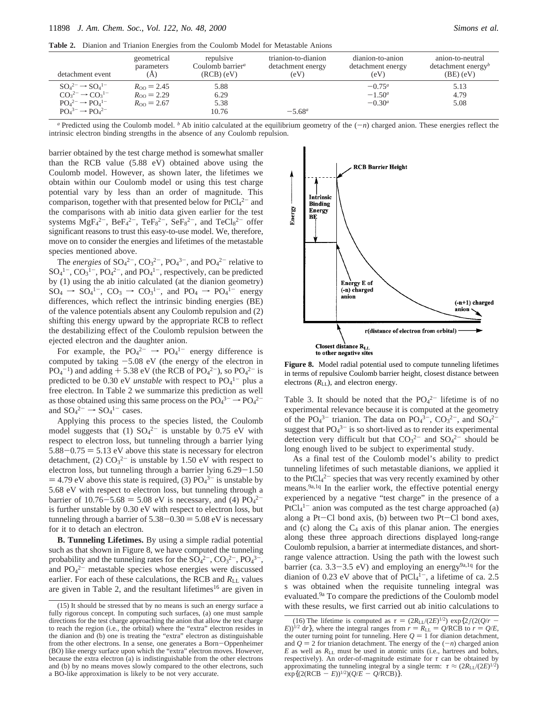**Table 2.** Dianion and Trianion Energies from the Coulomb Model for Metastable Anions

| detachment event                                                                                                             | geometrical                                                       | repulsive                     | trianion-to-dianion | dianion-to-anion                   | anion-to-neutral               |
|------------------------------------------------------------------------------------------------------------------------------|-------------------------------------------------------------------|-------------------------------|---------------------|------------------------------------|--------------------------------|
|                                                                                                                              | parameters                                                        | Coulomb barrier <sup>a</sup>  | detachment energy   | detachment energy                  | detachment energy <sup>b</sup> |
|                                                                                                                              | (A)                                                               | $(RCB)$ (eV)                  | (eV)                | (eV)                               | $(BE)$ (eV)                    |
| $SO_4{}^{2-} \rightarrow SO_4{}^{1-}$<br>$CO32- \rightarrow CO31-$<br>$POA2- \rightarrow POA1-$<br>$POA3- \rightarrow POA2-$ | $R_{\rm oo} = 2.45$<br>$R_{\rm oo} = 2.29$<br>$R_{\rm oo} = 2.67$ | 5.88<br>6.29<br>5.38<br>10.76 | $-5.68^{\circ}$     | $-0.75a$<br>$-1.50^a$<br>$-0.30^a$ | 5.13<br>4.79<br>5.08           |

*a* Predicted using the Coulomb model. *b* Ab initio calculated at the equilibrium geometry of the  $(-n)$  charged anion. These energies reflect the intrinsic electron binding strengths in the absence of any Coulomb repulsion.

barrier obtained by the test charge method is somewhat smaller than the RCB value (5.88 eV) obtained above using the Coulomb model. However, as shown later, the lifetimes we obtain within our Coulomb model or using this test charge potential vary by less than an order of magnitude. This comparison, together with that presented below for  $PtCl<sub>4</sub><sup>2-</sup>$  and the comparisons with ab initio data given earlier for the test systems  $MgF_4^{2-}$ ,  $BeF_4^{2-}$ ,  $TeF_8^{2-}$ ,  $SeF_8^{2-}$ , and  $TeCl_8^{2-}$  offer significant reasons to trust this easy-to-use model. We, therefore, move on to consider the energies and lifetimes of the metastable species mentioned above.

The *energies* of  $SO_4^2$ <sup>-</sup>,  $CO_3^2$ <sup>-</sup>,  $PO_4^3$ <sup>-</sup>, and  $PO_4^2$ <sup>-</sup> relative to  $SO_4^{1-}$ ,  $CO_3^{1-}$ ,  $PO_4^{2-}$ , and  $PO_4^{1-}$ , respectively, can be predicted by (1) using the ab initio calculated (at the dianion geometry)  $SO_4 \rightarrow SO_4^{1-}$ ,  $CO_3 \rightarrow CO_3^{1-}$ , and  $PO_4 \rightarrow PO_4^{1-}$  energy differences, which reflect the intrinsic binding energies (BE) of the valence potentials absent any Coulomb repulsion and (2) shifting this energy upward by the appropriate RCB to reflect the destabilizing effect of the Coulomb repulsion between the ejected electron and the daughter anion.

For example, the  $PO_4^{2-} \rightarrow PO_4^{1-}$  energy difference is computed by taking  $-5.08$  eV (the energy of the electron in  $PQ_4^{-1}$ ) and adding  $+ 5.38$  eV (the RCB of  $PQ_4^{2-}$ ), so  $PQ_4^{2-}$  is<br>predicted to be 0.30 eV unstable with respect to  $PQ_4^{-1-}$  plus a predicted to be 0.30 eV *unstable* with respect to PO<sub>4</sub><sup>1-</sup> plus a free electron. In Table 2 we summarize this prediction as well as those obtained using this same process on the  $PO_4^{3-} \rightarrow PO_4^{2-}$ and  $SO_4{}^{2-} \rightarrow SO_4{}^{1-}$  cases.

Applying this process to the species listed, the Coulomb model suggests that (1)  $SO_4^{2-}$  is unstable by 0.75 eV with respect to electron loss, but tunneling through a barrier lying  $5.88 - 0.75 = 5.13$  eV above this state is necessary for electron detachment, (2)  $CO_3^{2-}$  is unstable by 1.50 eV with respect to electron loss, but tunneling through a barrier lying 6.29-1.50  $=$  4.79 eV above this state is required, (3)  $PO<sub>4</sub><sup>3–</sup>$  is unstable by<br>5.68 eV with respect to electron loss, but tunneling through a 5.68 eV with respect to electron loss, but tunneling through a barrier of  $10.76-5.68 = 5.08$  eV is necessary, and (4)  $PQ_4^{2-}$ <br>is further unstable by 0.30 eV with respect to electron loss, but is further unstable by 0.30 eV with respect to electron loss, but tunneling through a barrier of  $5.38 - 0.30 = 5.08$  eV is necessary for it to detach an electron.

**B. Tunneling Lifetimes.** By using a simple radial potential such as that shown in Figure 8, we have computed the tunneling probability and the tunneling rates for the  $SO_4^2$ <sup>-</sup>,  $CO_3^2$ <sup>-</sup>,  $PO_4^3$ <sup>-</sup>, and  $PO<sub>4</sub><sup>2-</sup>$  metastable species whose energies were discussed earlier. For each of these calculations, the RCB and *R*<sub>LL</sub> values are given in Table 2, and the resultant lifetimes<sup>16</sup> are given in



**Figure 8.** Model radial potential used to compute tunneling lifetimes in terms of repulsive Coulomb barrier height, closest distance between electrons ( $R_{\text{LL}}$ ), and electron energy.

Table 3. It should be noted that the  $PO_4^{2-}$  lifetime is of no experimental relevance because it is computed at the geometry of the  $PO_4^{3-}$  trianion. The data on  $PO_4^{3-}$ ,  $CO_3^{2-}$ , and  $SO_4^{2-}$ suggest that  $PO_4^{3-}$  is so short-lived as to render its experimental detection very difficult but that  $CO_3^{2-}$  and  $SO_4^{2-}$  should be long enough lived to be subject to experimental study.

As a final test of the Coulomb model's ability to predict tunneling lifetimes of such metastable dianions, we applied it to the  $PtCl<sub>4</sub><sup>2-</sup>$  species that was very recently examined by other means.9a,1q In the earlier work, the effective potential energy experienced by a negative "test charge" in the presence of a  $PtCl<sub>4</sub><sup>1–</sup>$  anion was computed as the test charge approached (a) along a Pt-Cl bond axis, (b) between two Pt-Cl bond axes, and (c) along the  $C_4$  axis of this planar anion. The energies along these three approach directions displayed long-range Coulomb repulsion, a barrier at intermediate distances, and shortrange valence attraction. Using the path with the lowest such barrier (ca.  $3.3-3.5$  eV) and employing an energy<sup>9a, 1q</sup> for the dianion of 0.23 eV above that of  $PtCl<sub>4</sub><sup>1–</sup>$ , a lifetime of ca. 2.5 s was obtained when the requisite tunneling integral was evaluated.9a To compare the predictions of the Coulomb model (15) It should be stressed that by no means is such an energy surface a with these results, we first carried out ab initio calculations to

fully rigorous concept. In computing such surfaces, (a) one must sample directions for the test charge approaching the anion that allow the test charge to reach the region (i.e., the orbital) where the "extra" electron resides in the dianion and (b) one is treating the "extra" electron as distinguishable from the other electrons. In a sense, one generates a Born-Oppenheimer (BO) like energy surface upon which the "extra" electron moves. However, because the extra electron (a) is indistinguishable from the other electrons and (b) by no means moves slowly compared to the other electrons, such a BO-like approximation is likely to be not very accurate.

<sup>(16)</sup> The lifetime is computed as  $\tau = (2R_{\text{LL}}/(2E)^{1/2}) \exp\{2f(2(Q/r - E))^{1/2} \}$  dr}, where the integral ranges from  $r = R_{\text{LL}} = Q/\text{RCB}$  to  $r = Q/E$ , *E*))<sup>1/2</sup> d*r*}, where the integral ranges from  $r = R_{\text{LL}} = Q/\text{RCB}$  to  $r = Q/E$ , the outer turning point for tunneling Here  $Q = 1$  for dianion detachment the outer turning point for tunneling. Here  $Q = 1$  for dianion detachment, and  $Q = 2$  for trianion detachment. The energy of the  $(-n)$  charged anion and  $Q = 2$  for trianion detachment. The energy of the  $(-n)$  charged anion *E* as well as *R*LL must be used in atomic units (i.e., hartrees and bohrs, respectively). An order-of-magnitude estimate for *τ* can be obtained by approximating the tunneling integral by a single term:  $\tau \approx (2R_{\rm L} / (2E)^{1/2})$  $\exp\{(2(RCB - E))^{1/2}\} \cdot (Q/E - Q/RCB)\}.$